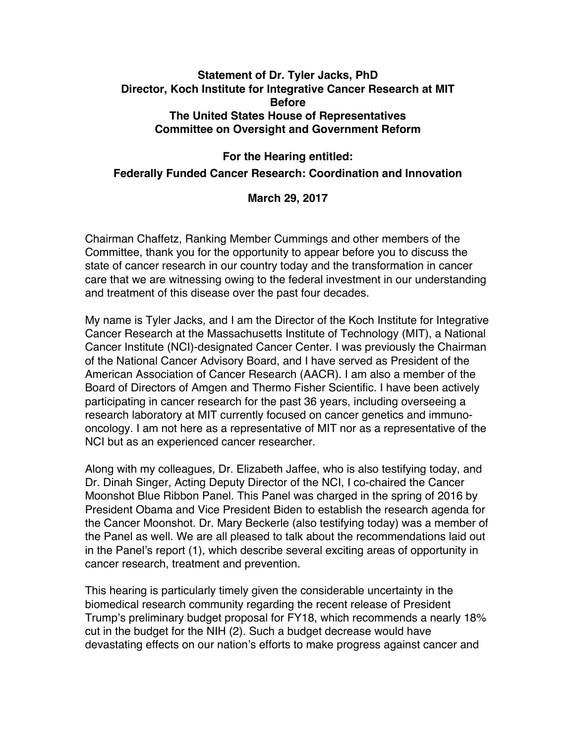# **Statement of Dr. Tyler Jacks, PhD Director, Koch Institute for Integrative Cancer Research at MIT Before The United States House of Representatives Committee on Oversight and Government Reform**

# **For the Hearing entitled: Federally Funded Cancer Research: Coordination and Innovation**

**March 29, 2017**

Chairman Chaffetz, Ranking Member Cummings and other members of the Committee, thank you for the opportunity to appear before you to discuss the state of cancer research in our country today and the transformation in cancer care that we are witnessing owing to the federal investment in our understanding and treatment of this disease over the past four decades.

My name is Tyler Jacks, and I am the Director of the Koch Institute for Integrative Cancer Research at the Massachusetts Institute of Technology (MIT), a National Cancer Institute (NCI)-designated Cancer Center. I was previously the Chairman of the National Cancer Advisory Board, and I have served as President of the American Association of Cancer Research (AACR). I am also a member of the Board of Directors of Amgen and Thermo Fisher Scientific. I have been actively participating in cancer research for the past 36 years, including overseeing a research laboratory at MIT currently focused on cancer genetics and immunooncology. I am not here as a representative of MIT nor as a representative of the NCI but as an experienced cancer researcher.

Along with my colleagues, Dr. Elizabeth Jaffee, who is also testifying today, and Dr. Dinah Singer, Acting Deputy Director of the NCI, I co-chaired the Cancer Moonshot Blue Ribbon Panel. This Panel was charged in the spring of 2016 by President Obama and Vice President Biden to establish the research agenda for the Cancer Moonshot. Dr. Mary Beckerle (also testifying today) was a member of the Panel as well. We are all pleased to talk about the recommendations laid out in the Panel's report (1), which describe several exciting areas of opportunity in cancer research, treatment and prevention.

This hearing is particularly timely given the considerable uncertainty in the biomedical research community regarding the recent release of President Trump's preliminary budget proposal for FY18, which recommends a nearly 18% cut in the budget for the NIH (2). Such a budget decrease would have devastating effects on our nation's efforts to make progress against cancer and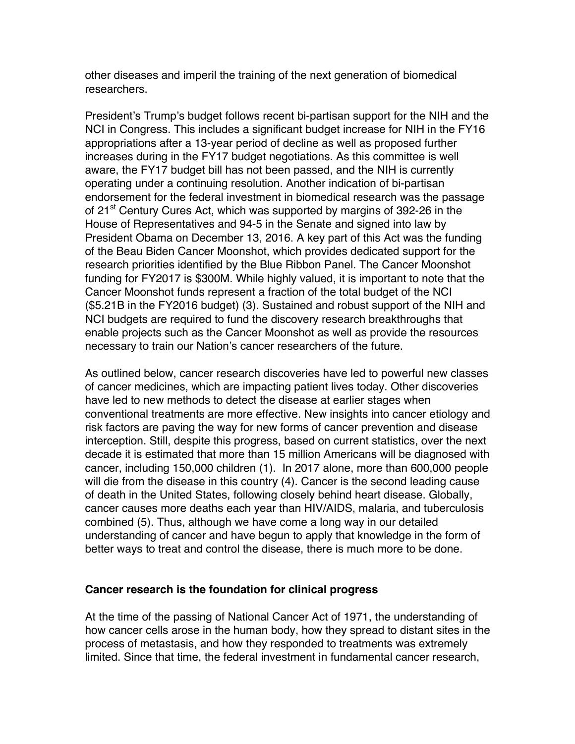other diseases and imperil the training of the next generation of biomedical researchers.

President's Trump's budget follows recent bi-partisan support for the NIH and the NCI in Congress. This includes a significant budget increase for NIH in the FY16 appropriations after a 13-year period of decline as well as proposed further increases during in the FY17 budget negotiations. As this committee is well aware, the FY17 budget bill has not been passed, and the NIH is currently operating under a continuing resolution. Another indication of bi-partisan endorsement for the federal investment in biomedical research was the passage of 21<sup>st</sup> Century Cures Act, which was supported by margins of 392-26 in the House of Representatives and 94-5 in the Senate and signed into law by President Obama on December 13, 2016. A key part of this Act was the funding of the Beau Biden Cancer Moonshot, which provides dedicated support for the research priorities identified by the Blue Ribbon Panel. The Cancer Moonshot funding for FY2017 is \$300M. While highly valued, it is important to note that the Cancer Moonshot funds represent a fraction of the total budget of the NCI (\$5.21B in the FY2016 budget) (3). Sustained and robust support of the NIH and NCI budgets are required to fund the discovery research breakthroughs that enable projects such as the Cancer Moonshot as well as provide the resources necessary to train our Nation's cancer researchers of the future.

As outlined below, cancer research discoveries have led to powerful new classes of cancer medicines, which are impacting patient lives today. Other discoveries have led to new methods to detect the disease at earlier stages when conventional treatments are more effective. New insights into cancer etiology and risk factors are paving the way for new forms of cancer prevention and disease interception. Still, despite this progress, based on current statistics, over the next decade it is estimated that more than 15 million Americans will be diagnosed with cancer, including 150,000 children (1). In 2017 alone, more than 600,000 people will die from the disease in this country (4). Cancer is the second leading cause of death in the United States, following closely behind heart disease. Globally, cancer causes more deaths each year than HIV/AIDS, malaria, and tuberculosis combined (5). Thus, although we have come a long way in our detailed understanding of cancer and have begun to apply that knowledge in the form of better ways to treat and control the disease, there is much more to be done.

## **Cancer research is the foundation for clinical progress**

At the time of the passing of National Cancer Act of 1971, the understanding of how cancer cells arose in the human body, how they spread to distant sites in the process of metastasis, and how they responded to treatments was extremely limited. Since that time, the federal investment in fundamental cancer research,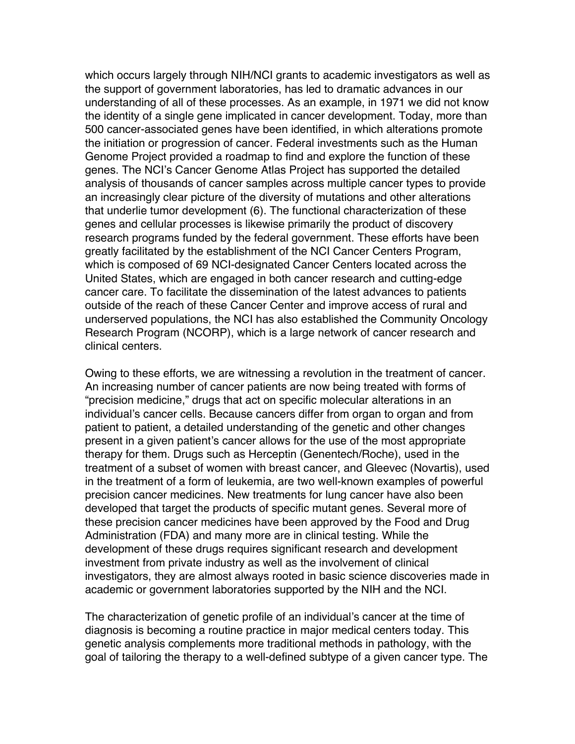which occurs largely through NIH/NCI grants to academic investigators as well as the support of government laboratories, has led to dramatic advances in our understanding of all of these processes. As an example, in 1971 we did not know the identity of a single gene implicated in cancer development. Today, more than 500 cancer-associated genes have been identified, in which alterations promote the initiation or progression of cancer. Federal investments such as the Human Genome Project provided a roadmap to find and explore the function of these genes. The NCI's Cancer Genome Atlas Project has supported the detailed analysis of thousands of cancer samples across multiple cancer types to provide an increasingly clear picture of the diversity of mutations and other alterations that underlie tumor development (6). The functional characterization of these genes and cellular processes is likewise primarily the product of discovery research programs funded by the federal government. These efforts have been greatly facilitated by the establishment of the NCI Cancer Centers Program, which is composed of 69 NCI-designated Cancer Centers located across the United States, which are engaged in both cancer research and cutting-edge cancer care. To facilitate the dissemination of the latest advances to patients outside of the reach of these Cancer Center and improve access of rural and underserved populations, the NCI has also established the Community Oncology Research Program (NCORP), which is a large network of cancer research and clinical centers.

Owing to these efforts, we are witnessing a revolution in the treatment of cancer. An increasing number of cancer patients are now being treated with forms of "precision medicine," drugs that act on specific molecular alterations in an individual's cancer cells. Because cancers differ from organ to organ and from patient to patient, a detailed understanding of the genetic and other changes present in a given patient's cancer allows for the use of the most appropriate therapy for them. Drugs such as Herceptin (Genentech/Roche), used in the treatment of a subset of women with breast cancer, and Gleevec (Novartis), used in the treatment of a form of leukemia, are two well-known examples of powerful precision cancer medicines. New treatments for lung cancer have also been developed that target the products of specific mutant genes. Several more of these precision cancer medicines have been approved by the Food and Drug Administration (FDA) and many more are in clinical testing. While the development of these drugs requires significant research and development investment from private industry as well as the involvement of clinical investigators, they are almost always rooted in basic science discoveries made in academic or government laboratories supported by the NIH and the NCI.

The characterization of genetic profile of an individual's cancer at the time of diagnosis is becoming a routine practice in major medical centers today. This genetic analysis complements more traditional methods in pathology, with the goal of tailoring the therapy to a well-defined subtype of a given cancer type. The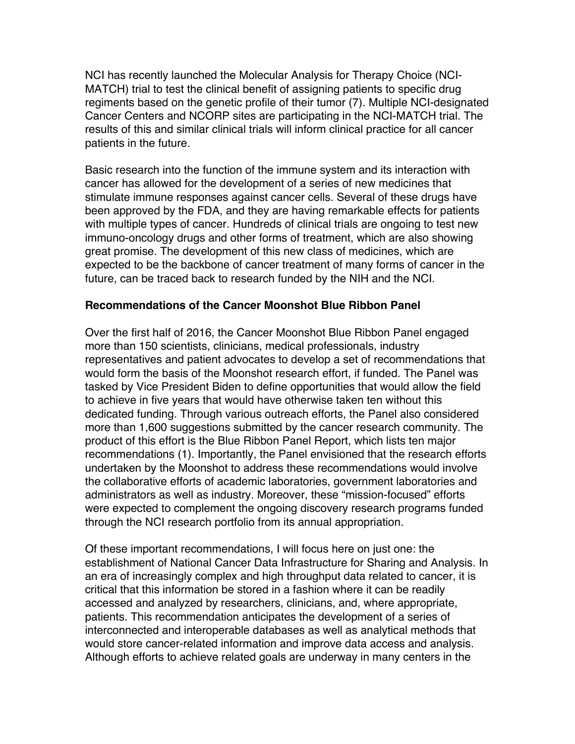NCI has recently launched the Molecular Analysis for Therapy Choice (NCI-MATCH) trial to test the clinical benefit of assigning patients to specific drug regiments based on the genetic profile of their tumor (7). Multiple NCI-designated Cancer Centers and NCORP sites are participating in the NCI-MATCH trial. The results of this and similar clinical trials will inform clinical practice for all cancer patients in the future.

Basic research into the function of the immune system and its interaction with cancer has allowed for the development of a series of new medicines that stimulate immune responses against cancer cells. Several of these drugs have been approved by the FDA, and they are having remarkable effects for patients with multiple types of cancer. Hundreds of clinical trials are ongoing to test new immuno-oncology drugs and other forms of treatment, which are also showing great promise. The development of this new class of medicines, which are expected to be the backbone of cancer treatment of many forms of cancer in the future, can be traced back to research funded by the NIH and the NCI.

## **Recommendations of the Cancer Moonshot Blue Ribbon Panel**

Over the first half of 2016, the Cancer Moonshot Blue Ribbon Panel engaged more than 150 scientists, clinicians, medical professionals, industry representatives and patient advocates to develop a set of recommendations that would form the basis of the Moonshot research effort, if funded. The Panel was tasked by Vice President Biden to define opportunities that would allow the field to achieve in five years that would have otherwise taken ten without this dedicated funding. Through various outreach efforts, the Panel also considered more than 1,600 suggestions submitted by the cancer research community. The product of this effort is the Blue Ribbon Panel Report, which lists ten major recommendations (1). Importantly, the Panel envisioned that the research efforts undertaken by the Moonshot to address these recommendations would involve the collaborative efforts of academic laboratories, government laboratories and administrators as well as industry. Moreover, these "mission-focused" efforts were expected to complement the ongoing discovery research programs funded through the NCI research portfolio from its annual appropriation.

Of these important recommendations, I will focus here on just one: the establishment of National Cancer Data Infrastructure for Sharing and Analysis. In an era of increasingly complex and high throughput data related to cancer, it is critical that this information be stored in a fashion where it can be readily accessed and analyzed by researchers, clinicians, and, where appropriate, patients. This recommendation anticipates the development of a series of interconnected and interoperable databases as well as analytical methods that would store cancer-related information and improve data access and analysis. Although efforts to achieve related goals are underway in many centers in the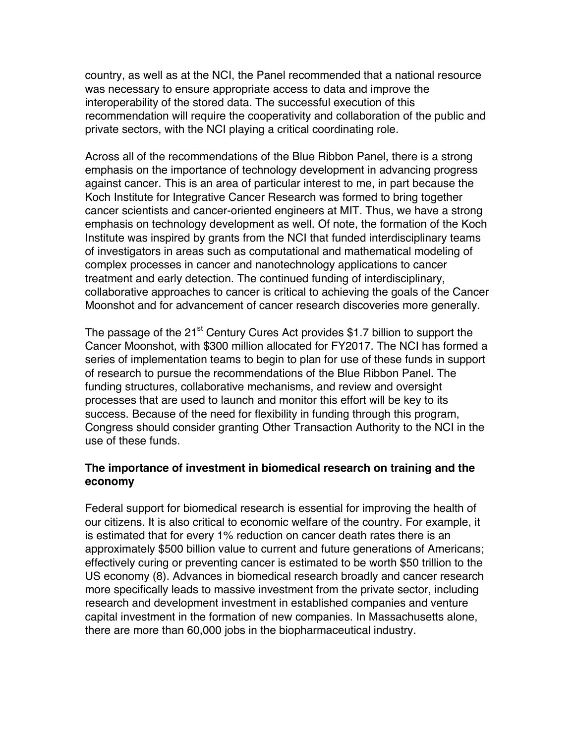country, as well as at the NCI, the Panel recommended that a national resource was necessary to ensure appropriate access to data and improve the interoperability of the stored data. The successful execution of this recommendation will require the cooperativity and collaboration of the public and private sectors, with the NCI playing a critical coordinating role.

Across all of the recommendations of the Blue Ribbon Panel, there is a strong emphasis on the importance of technology development in advancing progress against cancer. This is an area of particular interest to me, in part because the Koch Institute for Integrative Cancer Research was formed to bring together cancer scientists and cancer-oriented engineers at MIT. Thus, we have a strong emphasis on technology development as well. Of note, the formation of the Koch Institute was inspired by grants from the NCI that funded interdisciplinary teams of investigators in areas such as computational and mathematical modeling of complex processes in cancer and nanotechnology applications to cancer treatment and early detection. The continued funding of interdisciplinary, collaborative approaches to cancer is critical to achieving the goals of the Cancer Moonshot and for advancement of cancer research discoveries more generally.

The passage of the  $21^{st}$  Century Cures Act provides \$1.7 billion to support the Cancer Moonshot, with \$300 million allocated for FY2017. The NCI has formed a series of implementation teams to begin to plan for use of these funds in support of research to pursue the recommendations of the Blue Ribbon Panel. The funding structures, collaborative mechanisms, and review and oversight processes that are used to launch and monitor this effort will be key to its success. Because of the need for flexibility in funding through this program, Congress should consider granting Other Transaction Authority to the NCI in the use of these funds.

## **The importance of investment in biomedical research on training and the economy**

Federal support for biomedical research is essential for improving the health of our citizens. It is also critical to economic welfare of the country. For example, it is estimated that for every 1% reduction on cancer death rates there is an approximately \$500 billion value to current and future generations of Americans; effectively curing or preventing cancer is estimated to be worth \$50 trillion to the US economy (8). Advances in biomedical research broadly and cancer research more specifically leads to massive investment from the private sector, including research and development investment in established companies and venture capital investment in the formation of new companies. In Massachusetts alone, there are more than 60,000 jobs in the biopharmaceutical industry.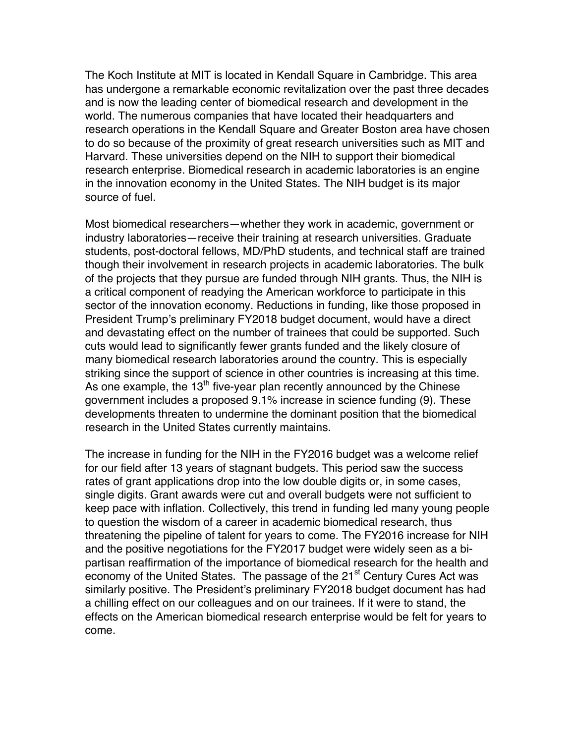The Koch Institute at MIT is located in Kendall Square in Cambridge. This area has undergone a remarkable economic revitalization over the past three decades and is now the leading center of biomedical research and development in the world. The numerous companies that have located their headquarters and research operations in the Kendall Square and Greater Boston area have chosen to do so because of the proximity of great research universities such as MIT and Harvard. These universities depend on the NIH to support their biomedical research enterprise. Biomedical research in academic laboratories is an engine in the innovation economy in the United States. The NIH budget is its major source of fuel.

Most biomedical researchers—whether they work in academic, government or industry laboratories—receive their training at research universities. Graduate students, post-doctoral fellows, MD/PhD students, and technical staff are trained though their involvement in research projects in academic laboratories. The bulk of the projects that they pursue are funded through NIH grants. Thus, the NIH is a critical component of readying the American workforce to participate in this sector of the innovation economy. Reductions in funding, like those proposed in President Trump's preliminary FY2018 budget document, would have a direct and devastating effect on the number of trainees that could be supported. Such cuts would lead to significantly fewer grants funded and the likely closure of many biomedical research laboratories around the country. This is especially striking since the support of science in other countries is increasing at this time. As one example, the  $13<sup>th</sup>$  five-year plan recently announced by the Chinese government includes a proposed 9.1% increase in science funding (9). These developments threaten to undermine the dominant position that the biomedical research in the United States currently maintains.

The increase in funding for the NIH in the FY2016 budget was a welcome relief for our field after 13 years of stagnant budgets. This period saw the success rates of grant applications drop into the low double digits or, in some cases, single digits. Grant awards were cut and overall budgets were not sufficient to keep pace with inflation. Collectively, this trend in funding led many young people to question the wisdom of a career in academic biomedical research, thus threatening the pipeline of talent for years to come. The FY2016 increase for NIH and the positive negotiations for the FY2017 budget were widely seen as a bipartisan reaffirmation of the importance of biomedical research for the health and economy of the United States. The passage of the 21<sup>st</sup> Century Cures Act was similarly positive. The President's preliminary FY2018 budget document has had a chilling effect on our colleagues and on our trainees. If it were to stand, the effects on the American biomedical research enterprise would be felt for years to come.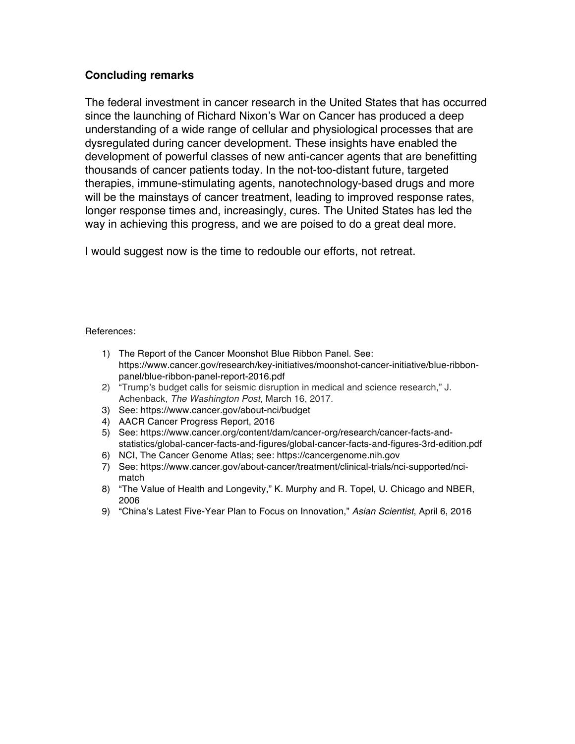## **Concluding remarks**

The federal investment in cancer research in the United States that has occurred since the launching of Richard Nixon's War on Cancer has produced a deep understanding of a wide range of cellular and physiological processes that are dysregulated during cancer development. These insights have enabled the development of powerful classes of new anti-cancer agents that are benefitting thousands of cancer patients today. In the not-too-distant future, targeted therapies, immune-stimulating agents, nanotechnology-based drugs and more will be the mainstays of cancer treatment, leading to improved response rates, longer response times and, increasingly, cures. The United States has led the way in achieving this progress, and we are poised to do a great deal more.

I would suggest now is the time to redouble our efforts, not retreat.

References:

- 1) The Report of the Cancer Moonshot Blue Ribbon Panel. See: https://www.cancer.gov/research/key-initiatives/moonshot-cancer-initiative/blue-ribbonpanel/blue-ribbon-panel-report-2016.pdf
- 2) "Trump's budget calls for seismic disruption in medical and science research," J. Achenback, *The Washington Post*, March 16, 2017.
- 3) See: https://www.cancer.gov/about-nci/budget
- 4) AACR Cancer Progress Report, 2016
- 5) See: https://www.cancer.org/content/dam/cancer-org/research/cancer-facts-andstatistics/global-cancer-facts-and-figures/global-cancer-facts-and-figures-3rd-edition.pdf
- 6) NCI, The Cancer Genome Atlas; see: https://cancergenome.nih.gov
- 7) See: https://www.cancer.gov/about-cancer/treatment/clinical-trials/nci-supported/ncimatch
- 8) "The Value of Health and Longevity," K. Murphy and R. Topel, U. Chicago and NBER, 2006
- 9) "China's Latest Five-Year Plan to Focus on Innovation," *Asian Scientist*, April 6, 2016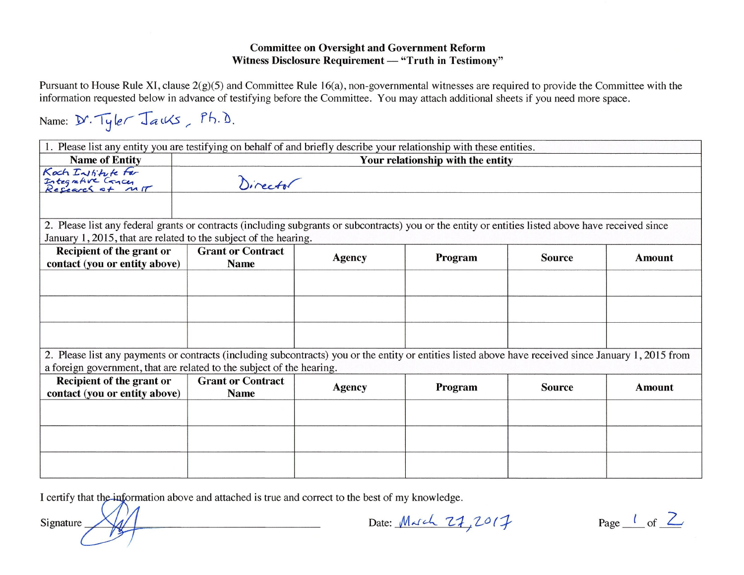## **Committee on Oversight and Government Reform** Witness Disclosure Requirement - "Truth in Testimony"

Pursuant to House Rule XI, clause  $2(g)(5)$  and Committee Rule 16(a), non-governmental witnesses are required to provide the Committee with the information requested below in advance of testifying before the Committee. You may attach additional sheets if you need more space.

Name: D. Tyler Jauks, Ph.D. 1. Please list any entity you are testifying on behalf of and briefly describe your relationship with these entities. Your relationship with the entity **Name of Entity** Kach Institute For<br>Integrative Concer<br>Research of M Director 2. Please list any federal grants or contracts (including subgrants or subcontracts) you or the entity or entities listed above have received since January 1, 2015, that are related to the subject of the hearing. Recipient of the grant or **Grant or Contract Agency** Program **Source Amount** contact (you or entity above) **Name** 2. Please list any payments or contracts (including subcontracts) you or the entity or entities listed above have received since January 1, 2015 from a foreign government, that are related to the subject of the hearing. Recipient of the grant or **Grant or Contract Agency** Program **Source Amount** contact (you or entity above) **Name** 

I certify that the information above and attached is true and correct to the best of my knowledge.

Signature

Date: March 27, 2017

Page  $\frac{l}{c}$  of  $\frac{2}{c}$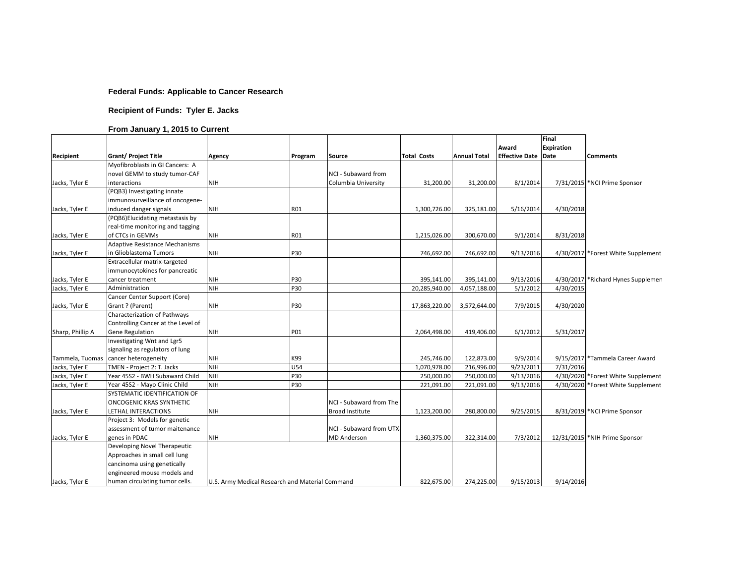### **Federal Funds: Applicable to Cancer Research**

### **Recipient of Funds: Tyler E. Jacks**

### **From January 1, 2015 to Current**

|                  |                                        |                                                 |         |                         |                    |                     | Award                      | Final<br><b>Expiration</b> |                                     |
|------------------|----------------------------------------|-------------------------------------------------|---------|-------------------------|--------------------|---------------------|----------------------------|----------------------------|-------------------------------------|
| Recipient        | <b>Grant/ Project Title</b>            | Agency                                          | Program | <b>Source</b>           | <b>Total Costs</b> | <b>Annual Total</b> | <b>Effective Date Date</b> |                            | <b>Comments</b>                     |
|                  | Myofibroblasts in GI Cancers: A        |                                                 |         |                         |                    |                     |                            |                            |                                     |
|                  | novel GEMM to study tumor-CAF          |                                                 |         | NCI - Subaward from     |                    |                     |                            |                            |                                     |
| Jacks, Tyler E   | interactions                           | <b>NIH</b>                                      |         | Columbia University     | 31,200.00          | 31,200.00           | 8/1/2014                   |                            | 7/31/2015 *NCI Prime Sponsor        |
|                  | (PQB3) Investigating innate            |                                                 |         |                         |                    |                     |                            |                            |                                     |
|                  | immunosurveillance of oncogene-        |                                                 |         |                         |                    |                     |                            |                            |                                     |
| Jacks, Tyler E   | induced danger signals                 | <b>NIH</b>                                      | R01     |                         | 1,300,726.00       | 325,181.00          | 5/16/2014                  | 4/30/2018                  |                                     |
|                  | (PQB6)Elucidating metastasis by        |                                                 |         |                         |                    |                     |                            |                            |                                     |
|                  | real-time monitoring and tagging       |                                                 |         |                         |                    |                     |                            |                            |                                     |
| Jacks, Tyler E   | of CTCs in GEMMs                       | <b>NIH</b>                                      | R01     |                         | 1,215,026.00       | 300,670.00          | 9/1/2014                   | 8/31/2018                  |                                     |
|                  | <b>Adaptive Resistance Mechanisms</b>  |                                                 |         |                         |                    |                     |                            |                            |                                     |
| Jacks, Tyler E   | in Glioblastoma Tumors                 | <b>NIH</b>                                      | P30     |                         | 746,692.00         | 746,692.00          | 9/13/2016                  |                            | 4/30/2017 Forest White Supplement   |
|                  | Extracellular matrix-targeted          |                                                 |         |                         |                    |                     |                            |                            |                                     |
|                  | immunocytokines for pancreatic         |                                                 |         |                         |                    |                     |                            |                            |                                     |
| Jacks, Tyler E   | cancer treatment                       | <b>NIH</b>                                      | P30     |                         | 395,141.00         | 395,141.00          | 9/13/2016                  |                            | 4/30/2017 * Richard Hynes Supplemen |
| Jacks, Tyler E   | Administration                         | <b>NIH</b>                                      | P30     |                         | 20,285,940.00      | 4,057,188.00        | 5/1/2012                   | 4/30/2015                  |                                     |
|                  | Cancer Center Support (Core)           |                                                 |         |                         |                    |                     |                            |                            |                                     |
| Jacks, Tyler E   | Grant ? (Parent)                       | <b>NIH</b>                                      | P30     |                         | 17,863,220.00      | 3,572,644.00        | 7/9/2015                   | 4/30/2020                  |                                     |
|                  | Characterization of Pathways           |                                                 |         |                         |                    |                     |                            |                            |                                     |
|                  | Controlling Cancer at the Level of     |                                                 |         |                         |                    |                     |                            |                            |                                     |
| Sharp, Phillip A | <b>Gene Regulation</b>                 | <b>NIH</b>                                      | P01     |                         | 2,064,498.00       | 419,406.00          | 6/1/2012                   | 5/31/2017                  |                                     |
|                  | Investigating Wnt and Lgr5             |                                                 |         |                         |                    |                     |                            |                            |                                     |
|                  | signaling as regulators of lung        |                                                 |         |                         |                    |                     |                            |                            |                                     |
|                  | Tammela, Tuomas   cancer heterogeneity | <b>NIH</b>                                      | K99     |                         | 245,746.00         | 122,873.00          | 9/9/2014                   |                            | 9/15/2017 *Tammela Career Award     |
| Jacks, Tyler E   | TMEN - Project 2: T. Jacks             | <b>NIH</b>                                      | U54     |                         | 1,070,978.00       | 216,996.00          | 9/23/2011                  | 7/31/2016                  |                                     |
| Jacks, Tyler E   | Year 45S2 - BWH Subaward Child         | <b>NIH</b>                                      | P30     |                         | 250,000.00         | 250,000.00          | 9/13/2016                  |                            | 4/30/2020 *Forest White Supplement  |
| Jacks, Tyler E   | Year 45S2 - Mayo Clinic Child          | <b>NIH</b>                                      | P30     |                         | 221,091.00         | 221,091.00          | 9/13/2016                  |                            | 4/30/2020 *Forest White Supplement  |
|                  | SYSTEMATIC IDENTIFICATION OF           |                                                 |         |                         |                    |                     |                            |                            |                                     |
|                  | <b>ONCOGENIC KRAS SYNTHETIC</b>        |                                                 |         | NCI - Subaward from The |                    |                     |                            |                            |                                     |
| Jacks, Tyler E   | LETHAL INTERACTIONS                    | <b>NIH</b>                                      |         | <b>Broad Institute</b>  | 1,123,200.00       | 280,800.00          | 9/25/2015                  |                            | 8/31/2019 * NCI Prime Sponsor       |
|                  | Project 3: Models for genetic          |                                                 |         |                         |                    |                     |                            |                            |                                     |
|                  | assessment of tumor maitenance         |                                                 |         | NCI - Subaward from UTX |                    |                     |                            |                            |                                     |
| Jacks, Tyler E   | genes in PDAC                          | <b>NIH</b>                                      |         | <b>MD</b> Anderson      | 1,360,375.00       | 322,314.00          | 7/3/2012                   |                            | 12/31/2015 *NIH Prime Sponsor       |
|                  | Developing Novel Therapeutic           |                                                 |         |                         |                    |                     |                            |                            |                                     |
|                  | Approaches in small cell lung          |                                                 |         |                         |                    |                     |                            |                            |                                     |
|                  | cancinoma using genetically            |                                                 |         |                         |                    |                     |                            |                            |                                     |
|                  | engineered mouse models and            |                                                 |         |                         |                    |                     |                            |                            |                                     |
| Jacks, Tyler E   | human circulating tumor cells.         | U.S. Army Medical Research and Material Command |         |                         | 822,675.00         | 274,225.00          | 9/15/2013                  | 9/14/2016                  |                                     |